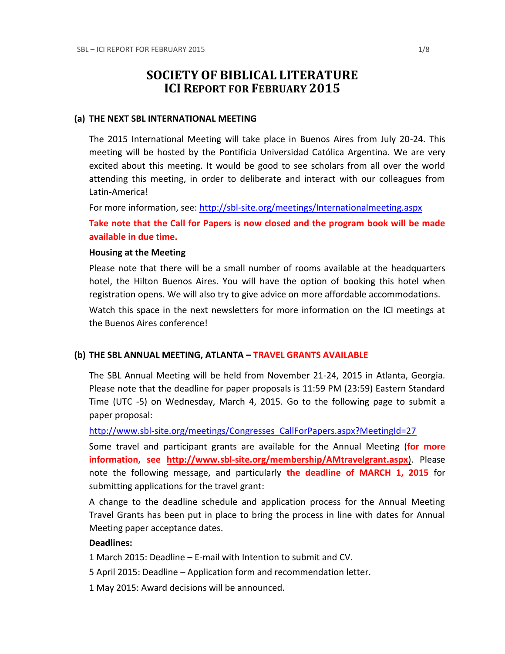# **SOCIETY OF BIBLICAL LITERATURE ICI REPORT FOR FEBRUARY 2015**

#### **(a) THE NEXT SBL INTERNATIONAL MEETING**

The 2015 International Meeting will take place in Buenos Aires from July 20-24. This meeting will be hosted by the Pontificia Universidad Católica Argentina. We are very excited about this meeting. It would be good to see scholars from all over the world attending this meeting, in order to deliberate and interact with our colleagues from Latin-America!

For more information, see:<http://sbl-site.org/meetings/Internationalmeeting.aspx>

**Take note that the Call for Papers is now closed and the program book will be made available in due time.**

#### **Housing at the Meeting**

Please note that there will be a small number of rooms available at the headquarters hotel, the Hilton Buenos Aires. You will have the option of booking this hotel when registration opens. We will also try to give advice on more affordable accommodations.

Watch this space in the next newsletters for more information on the ICI meetings at the Buenos Aires conference!

### **(b) THE SBL ANNUAL MEETING, ATLANTA – TRAVEL GRANTS AVAILABLE**

The SBL Annual Meeting will be held from November 21-24, 2015 in Atlanta, Georgia. Please note that the deadline for paper proposals is 11:59 PM (23:59) Eastern Standard Time (UTC -5) on Wednesday, March 4, 2015. Go to the following page to submit a paper proposal:

[http://www.sbl-site.org/meetings/Congresses\\_CallForPapers.aspx?MeetingId=27](http://www.sbl-site.org/meetings/Congresses_CallForPapers.aspx?MeetingId=27)

Some travel and participant grants are available for the Annual Meeting (**for more information, see <http://www.sbl-site.org/membership/AMtravelgrant.aspx>**). Please note the following message, and particularly **the deadline of MARCH 1, 2015** for submitting applications for the travel grant:

A change to the deadline schedule and application process for the Annual Meeting Travel Grants has been put in place to bring the process in line with dates for Annual Meeting paper acceptance dates.

### **Deadlines:**

1 March 2015: Deadline – E-mail with Intention to submit and CV.

5 April 2015: Deadline – Application form and recommendation letter.

1 May 2015: Award decisions will be announced.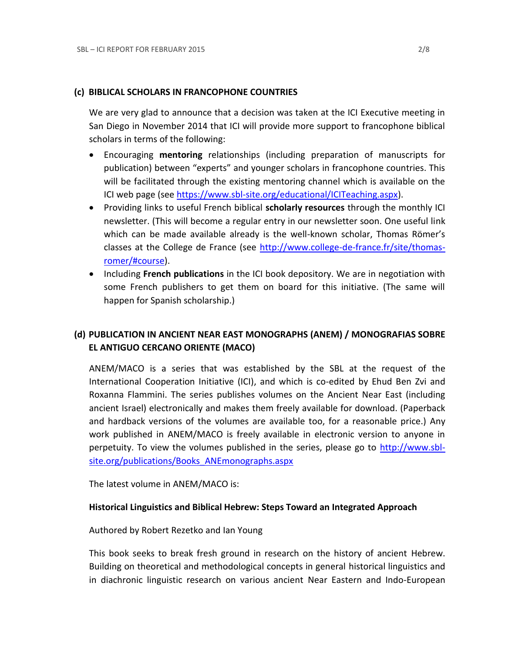### **(c) BIBLICAL SCHOLARS IN FRANCOPHONE COUNTRIES**

We are very glad to announce that a decision was taken at the ICI Executive meeting in San Diego in November 2014 that ICI will provide more support to francophone biblical scholars in terms of the following:

- Encouraging **mentoring** relationships (including preparation of manuscripts for publication) between "experts" and younger scholars in francophone countries. This will be facilitated through the existing mentoring channel which is available on the ICI web page (see [https://www.sbl-site.org/educational/ICITeaching.aspx\)](https://www.sbl-site.org/educational/ICITeaching.aspx).
- Providing links to useful French biblical **scholarly resources** through the monthly ICI newsletter. (This will become a regular entry in our newsletter soon. One useful link which can be made available already is the well-known scholar, Thomas Römer's classes at the College de France (see [http://www.college-de-france.fr/site/thomas](http://www.college-de-france.fr/site/thomas-romer/#course)[romer/#course\)](http://www.college-de-france.fr/site/thomas-romer/#course).
- **•** Including French publications in the ICI book depository. We are in negotiation with some French publishers to get them on board for this initiative. (The same will happen for Spanish scholarship.)

# **(d) PUBLICATION IN [ANCIENT NEAR EAST MONOGRAPHS](http://www.sbl-site.org/publications/Books_ANEmonographs.aspx) (ANEM) / [MONOGRAFIAS SOBRE](http://www.uca.edu.ar/index.php/site/index/en/universidad/facultades/buenos-aires/cs-sociales-politicas-y-de-la-comunicacion/investigacion/cehao/monografias_aco/)  [EL ANTIGUO CERCANO ORIENTE](http://www.uca.edu.ar/index.php/site/index/en/universidad/facultades/buenos-aires/cs-sociales-politicas-y-de-la-comunicacion/investigacion/cehao/monografias_aco/) (MACO)**

ANEM/MACO is a series that was established by the SBL at the request of the International Cooperation Initiative (ICI), and which is co-edited by Ehud Ben Zvi and Roxanna Flammini. The series publishes volumes on the Ancient Near East (including ancient Israel) electronically and makes them freely available for download. (Paperback and hardback versions of the volumes are available too, for a reasonable price.) Any work published in ANEM/MACO is freely available in electronic version to anyone in perpetuity. To view the volumes published in the series, please go to [http://www.sbl](http://www.sbl-site.org/publications/Books_ANEmonographs.aspx)[site.org/publications/Books\\_ANEmonographs.aspx](http://www.sbl-site.org/publications/Books_ANEmonographs.aspx)

The latest volume in ANEM/MACO is:

### **Historical Linguistics and Biblical Hebrew: Steps Toward an Integrated Approach**

Authored by Robert Rezetko and Ian Young

This book seeks to break fresh ground in research on the history of ancient Hebrew. Building on theoretical and methodological concepts in general historical linguistics and in diachronic linguistic research on various ancient Near Eastern and Indo-European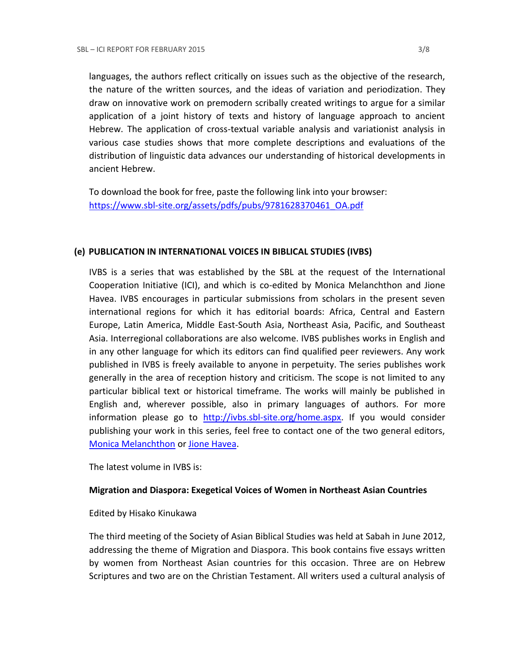languages, the authors reflect critically on issues such as the objective of the research, the nature of the written sources, and the ideas of variation and periodization. They draw on innovative work on premodern scribally created writings to argue for a similar application of a joint history of texts and history of language approach to ancient Hebrew. The application of cross-textual variable analysis and variationist analysis in various case studies shows that more complete descriptions and evaluations of the distribution of linguistic data advances our understanding of historical developments in ancient Hebrew.

To download the book for free, paste the following link into your browser: [https://www.sbl-site.org/assets/pdfs/pubs/9781628370461\\_OA.pdf](https://www.sbl-site.org/assets/pdfs/pubs/9781628370461_OA.pdf)

### **(e) PUBLICATION IN INTERNATIONAL VOICES IN BIBLICAL STUDIES (IVBS)**

IVBS is a series that was established by the SBL at the request of the International Cooperation Initiative (ICI), and which is co-edited by Monica Melanchthon and Jione Havea. IVBS encourages in particular submissions from scholars in the present seven international regions for which it has editorial boards: Africa, Central and Eastern Europe, Latin America, Middle East-South Asia, Northeast Asia, Pacific, and Southeast Asia. Interregional collaborations are also welcome. IVBS publishes works in English and in any other language for which its editors can find qualified peer reviewers. Any work published in IVBS is freely available to anyone in perpetuity. The series publishes work generally in the area of reception history and criticism. The scope is not limited to any particular biblical text or historical timeframe. The works will mainly be published in English and, wherever possible, also in primary languages of authors. For more information please go to [http://ivbs.sbl-site.org/home.aspx.](http://ivbs.sbl-site.org/home.aspx) If you would consider publishing your work in this series, feel free to contact one of the two general editors, [Monica Melanchthon](mailto:ivbs2010@gmail.com) or [Jione Havea.](mailto:jioneh@nsw.uca.org.au)

The latest volume in IVBS is:

### **Migration and Diaspora: Exegetical Voices of Women in Northeast Asian Countries**

### Edited by Hisako Kinukawa

The third meeting of the Society of Asian Biblical Studies was held at Sabah in June 2012, addressing the theme of Migration and Diaspora. This book contains five essays written by women from Northeast Asian countries for this occasion. Three are on Hebrew Scriptures and two are on the Christian Testament. All writers used a cultural analysis of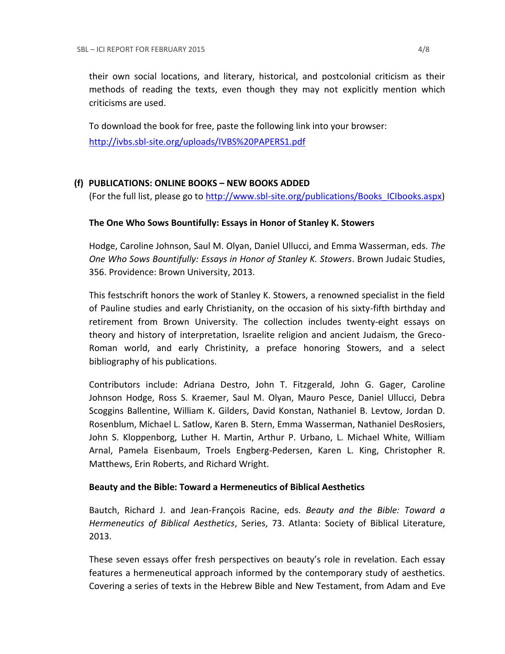their own social locations, and literary, historical, and postcolonial criticism as their methods of reading the texts, even though they may not explicitly mention which criticisms are used.

To download the book for free, paste the following link into your browser: <http://ivbs.sbl-site.org/uploads/IVBS%20PAPERS1.pdf>

## **(f) PUBLICATIONS: ONLINE BOOKS – NEW BOOKS ADDED**

(For the full list, please go to [http://www.sbl-site.org/publications/Books\\_ICIbooks.aspx\)](http://www.sbl-site.org/publications/Books_ICIbooks.aspx)

### **The One Who Sows Bountifully: Essays in Honor of Stanley K. Stowers**

Hodge, Caroline Johnson, Saul M. Olyan, Daniel Ullucci, and Emma Wasserman, eds. *The One Who Sows Bountifully: Essays in Honor of Stanley K. Stowers*. Brown Judaic Studies, 356. Providence: Brown University, 2013.

This festschrift honors the work of Stanley K. Stowers, a renowned specialist in the field of Pauline studies and early Christianity, on the occasion of his sixty-fifth birthday and retirement from Brown University. The collection includes twenty-eight essays on theory and history of interpretation, Israelite religion and ancient Judaism, the Greco-Roman world, and early Christinity, a preface honoring Stowers, and a select bibliography of his publications.

Contributors include: Adriana Destro, John T. Fitzgerald, John G. Gager, Caroline Johnson Hodge, Ross S. Kraemer, Saul M. Olyan, Mauro Pesce, Daniel Ullucci, Debra Scoggins Ballentine, William K. Gilders, David Konstan, Nathaniel B. Levtow, Jordan D. Rosenblum, Michael L. Satlow, Karen B. Stern, Emma Wasserman, Nathaniel DesRosiers, John S. Kloppenborg, Luther H. Martin, Arthur P. Urbano, L. Michael White, William Arnal, Pamela Eisenbaum, Troels Engberg-Pedersen, Karen L. King, Christopher R. Matthews, Erin Roberts, and Richard Wright.

### **Beauty and the Bible: Toward a Hermeneutics of Biblical Aesthetics**

Bautch, Richard J. and Jean-François Racine, eds. *Beauty and the Bible: Toward a Hermeneutics of Biblical Aesthetics*, Series, 73. Atlanta: Society of Biblical Literature, 2013.

These seven essays offer fresh perspectives on beauty's role in revelation. Each essay features a hermeneutical approach informed by the contemporary study of aesthetics. Covering a series of texts in the Hebrew Bible and New Testament, from Adam and Eve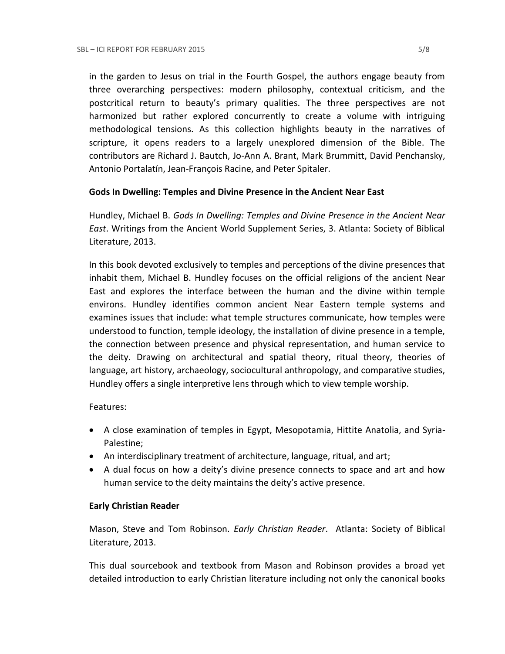in the garden to Jesus on trial in the Fourth Gospel, the authors engage beauty from three overarching perspectives: modern philosophy, contextual criticism, and the postcritical return to beauty's primary qualities. The three perspectives are not harmonized but rather explored concurrently to create a volume with intriguing methodological tensions. As this collection highlights beauty in the narratives of scripture, it opens readers to a largely unexplored dimension of the Bible. The contributors are Richard J. Bautch, Jo-Ann A. Brant, Mark Brummitt, David Penchansky, Antonio Portalatín, Jean-François Racine, and Peter Spitaler.

### **Gods In Dwelling: Temples and Divine Presence in the Ancient Near East**

Hundley, Michael B. *Gods In Dwelling: Temples and Divine Presence in the Ancient Near East*. Writings from the Ancient World Supplement Series, 3. Atlanta: Society of Biblical Literature, 2013.

In this book devoted exclusively to temples and perceptions of the divine presences that inhabit them, Michael B. Hundley focuses on the official religions of the ancient Near East and explores the interface between the human and the divine within temple environs. Hundley identifies common ancient Near Eastern temple systems and examines issues that include: what temple structures communicate, how temples were understood to function, temple ideology, the installation of divine presence in a temple, the connection between presence and physical representation, and human service to the deity. Drawing on architectural and spatial theory, ritual theory, theories of language, art history, archaeology, sociocultural anthropology, and comparative studies, Hundley offers a single interpretive lens through which to view temple worship.

### Features:

- A close examination of temples in Egypt, Mesopotamia, Hittite Anatolia, and Syria-Palestine;
- An interdisciplinary treatment of architecture, language, ritual, and art;
- A dual focus on how a deity's divine presence connects to space and art and how human service to the deity maintains the deity's active presence.

### **Early Christian Reader**

Mason, Steve and Tom Robinson. *Early Christian Reader*. Atlanta: Society of Biblical Literature, 2013.

This dual sourcebook and textbook from Mason and Robinson provides a broad yet detailed introduction to early Christian literature including not only the canonical books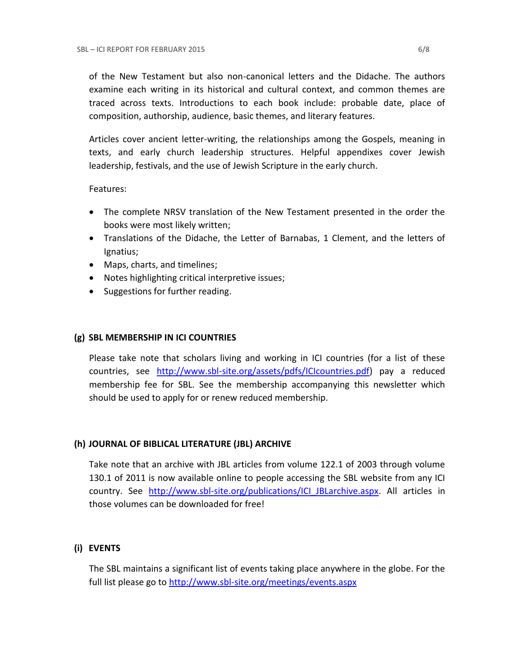of the New Testament but also non-canonical letters and the Didache. The authors examine each writing in its historical and cultural context, and common themes are traced across texts. Introductions to each book include: probable date, place of composition, authorship, audience, basic themes, and literary features.

Articles cover ancient letter-writing, the relationships among the Gospels, meaning in texts, and early church leadership structures. Helpful appendixes cover Jewish leadership, festivals, and the use of Jewish Scripture in the early church.

### Features:

- The complete NRSV translation of the New Testament presented in the order the books were most likely written;
- Translations of the Didache, the Letter of Barnabas, 1 Clement, and the letters of Ignatius;
- Maps, charts, and timelines;
- Notes highlighting critical interpretive issues;
- Suggestions for further reading.

### **(g) SBL MEMBERSHIP IN ICI COUNTRIES**

Please take note that scholars living and working in ICI countries (for a list of these countries, see [http://www.sbl-site.org/assets/pdfs/ICIcountries.pdf\)](http://www.sbl-site.org/assets/pdfs/ICIcountries.pdf) pay a reduced membership fee for SBL. See the membership accompanying this newsletter which should be used to apply for or renew reduced membership.

### **(h) JOURNAL OF BIBLICAL LITERATURE (JBL) ARCHIVE**

Take note that an archive with JBL articles from volume 122.1 of 2003 through volume 130.1 of 2011 is now available online to people accessing the SBL website from any ICI country. See [http://www.sbl-site.org/publications/ICI\\_JBLarchive.aspx.](http://www.sbl-site.org/publications/ICI_JBLarchive.aspx) All articles in those volumes can be downloaded for free!

### **(i) EVENTS**

The SBL maintains a significant list of events taking place anywhere in the globe. For the full list please go to<http://www.sbl-site.org/meetings/events.aspx>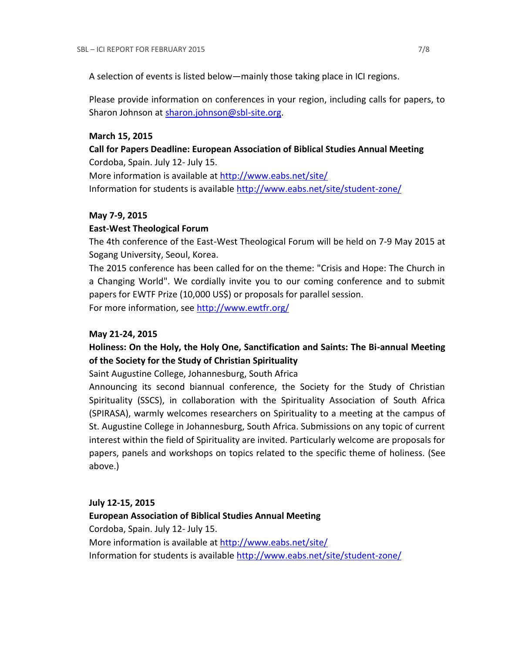A selection of events is listed below—mainly those taking place in ICI regions.

Please provide information on conferences in your region, including calls for papers, to Sharon Johnson at [sharon.johnson@sbl-site.org.](mailto:sharon.johnson@sbl-site.org)

#### **March 15, 2015**

## **Call for Papers Deadline: European Association of Biblical Studies Annual Meeting** Cordoba, Spain. July 12- July 15.

More information is available a[t http://www.eabs.net/site/](http://www.eabs.net/site/) Information for students is available <http://www.eabs.net/site/student-zone/>

#### **May 7-9, 2015**

#### **East-West Theological Forum**

The 4th conference of the East-West Theological Forum will be held on 7-9 May 2015 at Sogang University, Seoul, Korea.

The 2015 conference has been called for on the theme: "Crisis and Hope: The Church in a Changing World". We cordially invite you to our coming conference and to submit papers for EWTF Prize (10,000 US\$) or proposals for parallel session.

For more information, see<http://www.ewtfr.org/>

#### **May 21-24, 2015**

## **Holiness: On the Holy, the Holy One, Sanctification and Saints: The Bi-annual Meeting of the Society for the Study of Christian Spirituality**

Saint Augustine College, Johannesburg, South Africa

Announcing its second biannual conference, the Society for the Study of Christian Spirituality (SSCS), in collaboration with the Spirituality Association of South Africa (SPIRASA), warmly welcomes researchers on Spirituality to a meeting at the campus of St. Augustine College in Johannesburg, South Africa. Submissions on any topic of current interest within the field of Spirituality are invited. Particularly welcome are proposals for papers, panels and workshops on topics related to the specific theme of holiness. (See above.)

#### **July 12-15, 2015**

# **European Association of Biblical Studies Annual Meeting** Cordoba, Spain. July 12- July 15. More information is available a[t http://www.eabs.net/site/](http://www.eabs.net/site/) Information for students is available <http://www.eabs.net/site/student-zone/>